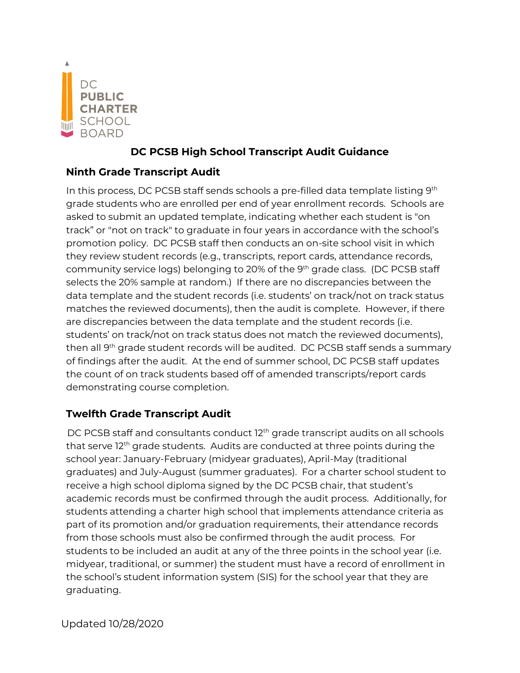

## **DC PCSB High School Transcript Audit Guidance**

## **Ninth Grade Transcript Audit**

In this process, DC PCSB staff sends schools a pre-filled data template listing 9<sup>th</sup> grade students who are enrolled per end of year enrollment records. Schools are asked to submit an updated template, indicating whether each student is "on track" or "not on track" to graduate in four years in accordance with the school's promotion policy. DC PCSB staff then conducts an on-site school visit in which they review student records (e.g., transcripts, report cards, attendance records, community service logs) belonging to 20% of the 9<sup>th</sup> grade class. (DC PCSB staff selects the 20% sample at random.) If there are no discrepancies between the data template and the student records (i.e. students' on track/not on track status matches the reviewed documents), then the audit is complete. However, if there are discrepancies between the data template and the student records (i.e. students' on track/not on track status does not match the reviewed documents), then all 9th grade student records will be audited. DC PCSB staff sends a summary of findings after the audit. At the end of summer school, DC PCSB staff updates the count of on track students based off of amended transcripts/report cards demonstrating course completion.

## **Twelfth Grade Transcript Audit**

DC PCSB staff and consultants conduct 12<sup>th</sup> grade transcript audits on all schools that serve  $12<sup>th</sup>$  grade students. Audits are conducted at three points during the school year: January-February (midyear graduates), April-May (traditional graduates) and July-August (summer graduates). For a charter school student to receive a high school diploma signed by the DC PCSB chair, that student's academic records must be confirmed through the audit process. Additionally, for students attending a charter high school that implements attendance criteria as part of its promotion and/or graduation requirements, their attendance records from those schools must also be confirmed through the audit process. For students to be included an audit at any of the three points in the school year (i.e. midyear, traditional, or summer) the student must have a record of enrollment in the school's student information system (SIS) for the school year that they are graduating.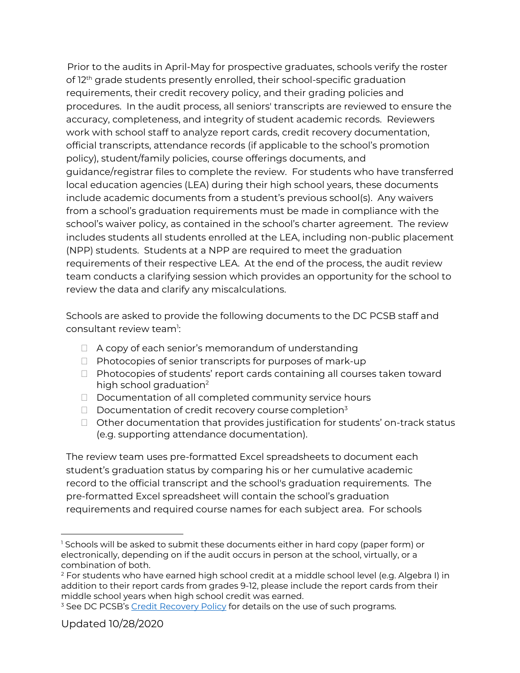Prior to the audits in April-May for prospective graduates, schools verify the roster of 12<sup>th</sup> grade students presently enrolled, their school-specific graduation requirements, their credit recovery policy, and their grading policies and procedures. In the audit process, all seniors' transcripts are reviewed to ensure the accuracy, completeness, and integrity of student academic records. Reviewers work with school staff to analyze report cards, credit recovery documentation, official transcripts, attendance records (if applicable to the school's promotion policy), student/family policies, course offerings documents, and guidance/registrar files to complete the review. For students who have transferred local education agencies (LEA) during their high school years, these documents include academic documents from a student's previous school(s). Any waivers from a school's graduation requirements must be made in compliance with the school's waiver policy, as contained in the school's charter agreement. The review includes students all students enrolled at the LEA, including non-public placement (NPP) students. Students at a NPP are required to meet the graduation requirements of their respective LEA. At the end of the process, the audit review team conducts a clarifying session which provides an opportunity for the school to review the data and clarify any miscalculations.

Schools are asked to provide the following documents to the DC PCSB staff and consultant review team $\mathrel{!}:$ 

- $\Box$  A copy of each senior's memorandum of understanding
- $\Box$  Photocopies of senior transcripts for purposes of mark-up
- $\Box$  Photocopies of students' report cards containing all courses taken toward high school graduation<sup>2</sup>
- $\Box$  Documentation of all completed community service hours
- $\Box$  Documentation of credit recovery course completion<sup>3</sup>
- $\Box$  Other documentation that provides justification for students' on-track status (e.g. supporting attendance documentation).

The review team uses pre-formatted Excel spreadsheets to document each student's graduation status by comparing his or her cumulative academic record to the official transcript and the school's graduation requirements. The pre-formatted Excel spreadsheet will contain the school's graduation requirements and required course names for each subject area. For schools

<sup>&</sup>lt;sup>1</sup> Schools will be asked to submit these documents either in hard copy (paper form) or electronically, depending on if the audit occurs in person at the school, virtually, or a combination of both.

 $2$  For students who have earned high school credit at a middle school level (e.g. Algebra I) in addition to their report cards from grades 9-12, please include the report cards from their middle school years when high school credit was earned.

<sup>&</sup>lt;sup>3</sup> See DC PCSB's [Credit Recovery Policy](https://dcpcsb.org/credit-recovery-policy) for details on the use of such programs.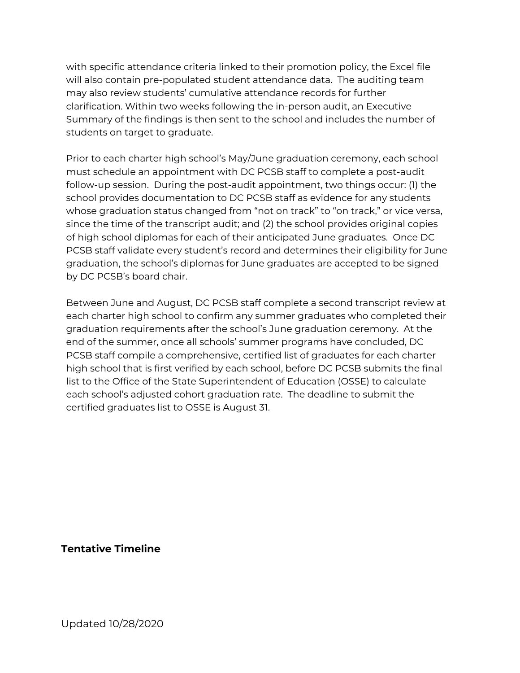with specific attendance criteria linked to their promotion policy, the Excel file will also contain pre-populated student attendance data. The auditing team may also review students' cumulative attendance records for further clarification. Within two weeks following the in-person audit, an Executive Summary of the findings is then sent to the school and includes the number of students on target to graduate.

Prior to each charter high school's May/June graduation ceremony, each school must schedule an appointment with DC PCSB staff to complete a post-audit follow-up session. During the post-audit appointment, two things occur: (1) the school provides documentation to DC PCSB staff as evidence for any students whose graduation status changed from "not on track" to "on track," or vice versa, since the time of the transcript audit; and (2) the school provides original copies of high school diplomas for each of their anticipated June graduates. Once DC PCSB staff validate every student's record and determines their eligibility for June graduation, the school's diplomas for June graduates are accepted to be signed by DC PCSB's board chair.

Between June and August, DC PCSB staff complete a second transcript review at each charter high school to confirm any summer graduates who completed their graduation requirements after the school's June graduation ceremony. At the end of the summer, once all schools' summer programs have concluded, DC PCSB staff compile a comprehensive, certified list of graduates for each charter high school that is first verified by each school, before DC PCSB submits the final list to the Office of the State Superintendent of Education (OSSE) to calculate each school's adjusted cohort graduation rate. The deadline to submit the certified graduates list to OSSE is August 31.

**Tentative Timeline**